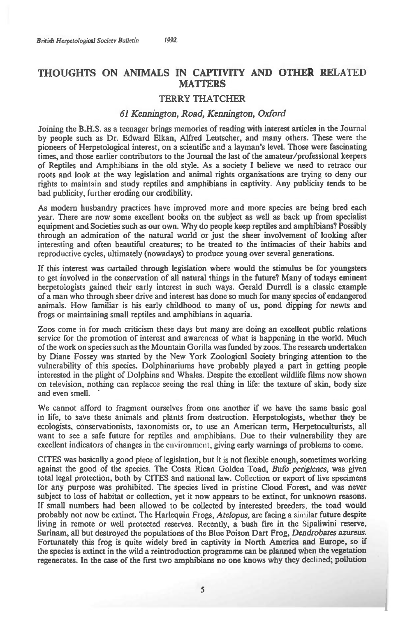## **THOUGHTS ON ANIMALS IN CAPTIVITY AND OTHER RELATED MATTERS**

## **TERRY THATCHER**

## *61 Kennington, Road, Kennington, Oxford*

**Joining the B.H.S. as a teenager brings memories of reading with interest articles in the Journal by people such as Dr. Edward Elkan, Alfred Leutscher, and many others. These were** the **pioneers of Herpetological interest, on a scientific and a layman's level. Those were fascinating times, and those earlier contributors to the Journal the last of the amateur/professional keepers of Reptiles and Amphibians in the old style. As a society I believe we need to retrace our roots and look at the way legislation and animal rights organisations are trying to deny our rights to maintain and study reptiles and amphibians in captivity. Any publicity tends to be bad publicity, further eroding our credibility.** 

**As modern husbandry practices have improved more and more species are being bred each year. There are now some excellent books on the subject as well as back up from specialist equipment and Societies such as our own. Why do people keep reptiles and amphibians? Possibly through an admiration of the natural world or just the sheer involvement of looking after interesting and often beautiful creatures; to be treated to the intimacies of their habits and reproductive cycles, ultimately (nowadays) to produce young over several generations.** 

**If this interest was curtailed through legislation where would the stimulus be for youngsters to get involved in the conservation of all natural things in the future? Many of todays eminent herpetologists gained their early interest in such ways. Gerald Durrell is a classic example of a man who through sheer drive and interest has done so much for many species of endangered animals. How familiar is his early childhood to many of us, pond dipping for newts and frogs or maintaining small reptiles and amphibians in aquaria.** 

**Zoos come in for much criticism these days but many are doing an excellent public relations service for the promotion of interest and awareness of what is happening in the world. Much of the work on species such as the Mountain** Gorilla **was funded by zoos. The research undertaken by Diane Fossey was started by the New York Zoological Society bringing attention to the vulnerability of this species. Dolphinariums have probably played a part in getting people interested in the plight of Dolphins and Whales. Despite the excellent wildlife films now shown on television, nothing can replacce seeing the real thing in life: the texture of skin, body size and even smell.** 

**We cannot afford to fragment ourselves from one another if we have the same basic goal in life, to save these animals and plants from destruction. Herpetologists, whether they be ecologists, conservationists, taxonomists or, to use an American term, Herpetoculturists, all want to see a safe future for reptiles and amphibians. Due to their vulnerability they are excellent indicators of changes in the** environment, **giving early warnings of problems to come.** 

**CITES was basically a good piece of legislation, but it is not flexible enough, sometimes working against the good of the species. The Costa Rican Golden Toad,** *Bufo periglenes,* **was given total legal protection, both by CITES and national law. Collection or export of live specimens for any purpose was prohibited. The species lived in** pristine **Cloud Forest, and was never subject to loss of habitat or collection, yet it now appears to be extinct, for unknown reasons. If small numbers had been allowed to be collected by interested breeders, the toad would probably not now be extinct. The Harlequin Frogs,** *Atelopus, are facing* a similar future despite living in remote or well protected reserves. **Recently, a bush fire in the Sipaliwini reserve, Surinam, all but destroyed the populations of the Blue Poison Dart Frog,** *Dendrobates azureus.*  **Fortunately this frog is quite widely bred in captivity in North America and Europe, so if the species is extinct in the wild a reintroduction programme can be planned when the vegetation**  regenerates. In the case of the first two amphibians no one knows why they declined; pollution